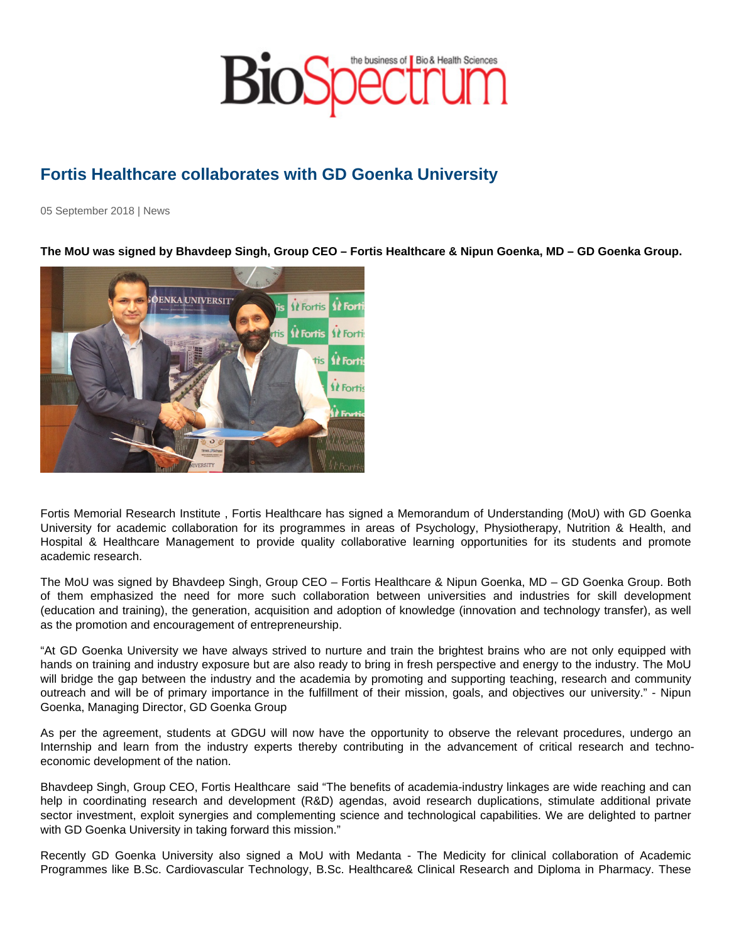## Fortis Healthcare collaborates with GD Goenka University

05 September 2018 | News

The MoU was signed by Bhavdeep Singh, Group CEO – Fortis Healthcare & Nipun Goenka, MD – GD Goenka Group.

Fortis Memorial Research Institute , Fortis Healthcare has signed a Memorandum of Understanding (MoU) with GD Goenka University for academic collaboration for its programmes in areas of Psychology, Physiotherapy, Nutrition & Health, and Hospital & Healthcare Management to provide quality collaborative learning opportunities for its students and promote academic research.

The MoU was signed by Bhavdeep Singh, Group CEO – Fortis Healthcare & Nipun Goenka, MD – GD Goenka Group. Both of them emphasized the need for more such collaboration between universities and industries for skill development (education and training), the generation, acquisition and adoption of knowledge (innovation and technology transfer), as well as the promotion and encouragement of entrepreneurship.

"At GD Goenka University we have always strived to nurture and train the brightest brains who are not only equipped with hands on training and industry exposure but are also ready to bring in fresh perspective and energy to the industry. The MoU will bridge the gap between the industry and the academia by promoting and supporting teaching, research and community outreach and will be of primary importance in the fulfillment of their mission, goals, and objectives our university." - Nipun Goenka, Managing Director, GD Goenka Group

As per the agreement, students at GDGU will now have the opportunity to observe the relevant procedures, undergo an Internship and learn from the industry experts thereby contributing in the advancement of critical research and technoeconomic development of the nation.

Bhavdeep Singh, Group CEO, Fortis Healthcare said "The benefits of academia-industry linkages are wide reaching and can help in coordinating research and development (R&D) agendas, avoid research duplications, stimulate additional private sector investment, exploit synergies and complementing science and technological capabilities. We are delighted to partner with GD Goenka University in taking forward this mission."

Recently GD Goenka University also signed a MoU with Medanta - The Medicity for clinical collaboration of Academic Programmes like B.Sc. Cardiovascular Technology, B.Sc. Healthcare& Clinical Research and Diploma in Pharmacy. These